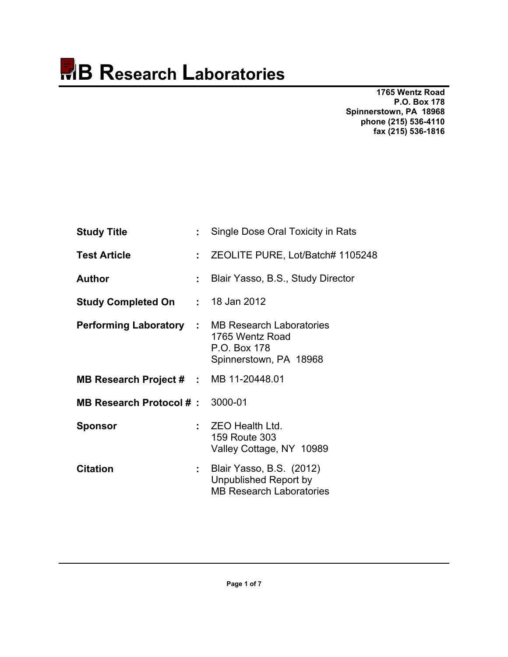**1765 Wentz Road P.O. Box 178 Spinnerstown, PA 18968 phone (215) 536-4110 fax (215) 536-1816** 

| <b>Study Title</b>                      |     | Single Dose Oral Toxicity in Rats                                                                                    |
|-----------------------------------------|-----|----------------------------------------------------------------------------------------------------------------------|
| <b>Test Article</b>                     | ÷   | ZEOLITE PURE, Lot/Batch# 1105248                                                                                     |
| <b>Author</b>                           | ÷   | Blair Yasso, B.S., Study Director                                                                                    |
| <b>Study Completed On : 18 Jan 2012</b> |     |                                                                                                                      |
|                                         |     | <b>Performing Laboratory : MB Research Laboratories</b><br>1765 Wentz Road<br>P.O. Box 178<br>Spinnerstown, PA 18968 |
| MB Research Project # : MB 11-20448.01  |     |                                                                                                                      |
| MB Research Protocol #: 3000-01         |     |                                                                                                                      |
| <b>Sponsor</b>                          |     | <b>ZEO Health Ltd.</b><br>159 Route 303<br>Valley Cottage, NY 10989                                                  |
| <b>Citation</b>                         | t i | Blair Yasso, B.S. (2012)<br>Unpublished Report by<br><b>MB Research Laboratories</b>                                 |
|                                         |     |                                                                                                                      |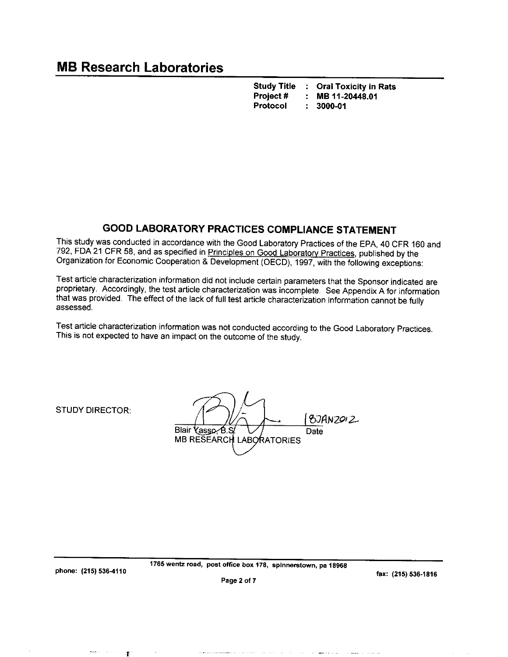**Study Title : Oral Toxicity in Rats** Project# MB 11-20448.01  $\ddot{\phantom{a}}$ Protocol  $\mathcal{L}^{\pm}$ 3000-01

## **GOOD LABORATORY PRACTICES COMPLIANCE STATEMENT**

This study was conducted in accordance with the Good Laboratory Practices of the EPA, 40 CFR 160 and 792, FDA 21 CFR 58, and as specified in Principles on Good Laboratory Practices, published by the Organization for Economic Cooperation & Development (OECD), 1997, with the following exceptions:

Test article characterization information did not include certain parameters that the Sponsor indicated are proprietary. Accordingly, the test article characterization was incomplete. See Appendix A for information that was provided. The effect of the lack of full test article characterization information cannot be fully assessed.

Test article characterization information was not conducted according to the Good Laboratory Practices. This is not expected to have an impact on the outcome of the study.

**STUDY DIRECTOR:** 

8JAN2012 Blair Yasso B.S Date **MB RESEARCH LABORATORIES** 

 $\blacksquare$ 

1765 wentz road, post office box 178, spinnerstown, pa 18968

fax: (215) 536-1816

Page 2 of 7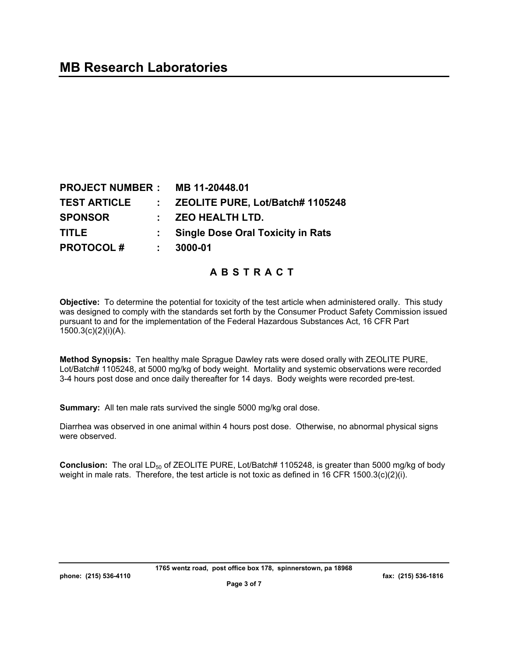| <b>PROJECT NUMBER: MB 11-20448.01</b> |                                          |
|---------------------------------------|------------------------------------------|
| <b>TEST ARTICLE</b>                   | : ZEOLITE PURE, Lot/Batch# 1105248       |
| <b>SPONSOR</b>                        | $:$ ZEO HEALTH LTD.                      |
| <b>TITLE</b>                          | <b>Single Dose Oral Toxicity in Rats</b> |
| <b>PROTOCOL#</b>                      | 3000-01                                  |

**ABSTRACT** 

**Objective:** To determine the potential for toxicity of the test article when administered orally. This study was designed to comply with the standards set forth by the Consumer Product Safety Commission issued pursuant to and for the implementation of the Federal Hazardous Substances Act, 16 CFR Part 1500.3(c)(2)(i)(A).

**Method Synopsis:** Ten healthy male Sprague Dawley rats were dosed orally with ZEOLITE PURE, Lot/Batch# 1105248, at 5000 mg/kg of body weight. Mortality and systemic observations were recorded 3-4 hours post dose and once daily thereafter for 14 days. Body weights were recorded pre-test.

**Summary:** All ten male rats survived the single 5000 mg/kg oral dose.

Diarrhea was observed in one animal within 4 hours post dose. Otherwise, no abnormal physical signs were observed.

**Conclusion:** The oral LD<sub>50</sub> of ZEOLITE PURE, Lot/Batch# 1105248, is greater than 5000 mg/kg of body weight in male rats. Therefore, the test article is not toxic as defined in 16 CFR 1500.3(c)(2)(i).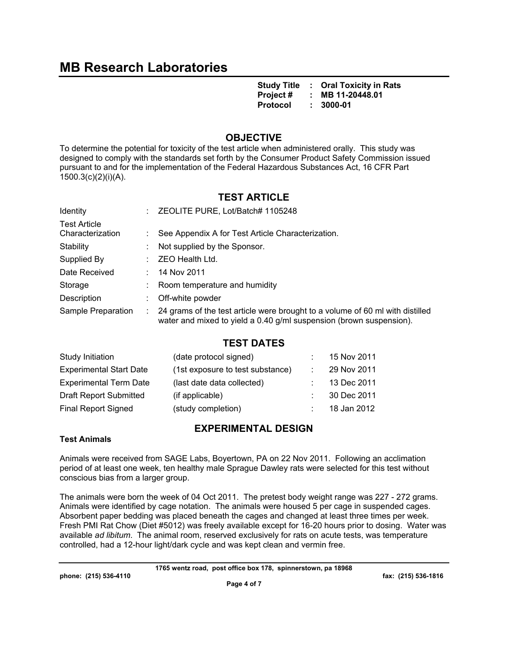**Study Title : Oral Toxicity in Rats Project # : MB 11-20448.01**  Protocol :

## **OBJECTIVE**

To determine the potential for toxicity of the test article when administered orally. This study was designed to comply with the standards set forth by the Consumer Product Safety Commission issued pursuant to and for the implementation of the Federal Hazardous Substances Act, 16 CFR Part 1500.3(c)(2)(i)(A).

## **TEST ARTICLE**

| <b>Identity</b>                         | ZEOLITE PURE, Lot/Batch# 1105248                                                                                                                     |
|-----------------------------------------|------------------------------------------------------------------------------------------------------------------------------------------------------|
| <b>Test Article</b><br>Characterization | See Appendix A for Test Article Characterization.                                                                                                    |
| Stability                               | Not supplied by the Sponsor.                                                                                                                         |
| Supplied By                             | ZEO Health Ltd.                                                                                                                                      |
| Date Received                           | 14 Nov 2011                                                                                                                                          |
| Storage                                 | Room temperature and humidity                                                                                                                        |
| Description                             | Off-white powder                                                                                                                                     |
| Sample Preparation                      | 24 grams of the test article were brought to a volume of 60 ml with distilled<br>water and mixed to yield a 0.40 g/ml suspension (brown suspension). |

### **TEST DATES**

| Study Initiation               | (date protocol signed)           | 15 Nov 2011 |
|--------------------------------|----------------------------------|-------------|
| <b>Experimental Start Date</b> | (1st exposure to test substance) | 29 Nov 2011 |
| <b>Experimental Term Date</b>  | (last date data collected)       | 13 Dec 2011 |
| <b>Draft Report Submitted</b>  | (if applicable)                  | 30 Dec 2011 |
| <b>Final Report Signed</b>     | (study completion)               | 18 Jan 2012 |
|                                |                                  |             |

## **EXPERIMENTAL DESIGN**

### **Test Animals**

Animals were received from SAGE Labs, Boyertown, PA on 22 Nov 2011. Following an acclimation period of at least one week, ten healthy male Sprague Dawley rats were selected for this test without conscious bias from a larger group.

The animals were born the week of 04 Oct 2011. The pretest body weight range was 227 - 272 grams. Animals were identified by cage notation. The animals were housed 5 per cage in suspended cages. Absorbent paper bedding was placed beneath the cages and changed at least three times per week. Fresh PMI Rat Chow (Diet #5012) was freely available except for 16-20 hours prior to dosing. Water was available *ad libitum*. The animal room, reserved exclusively for rats on acute tests, was temperature controlled, had a 12-hour light/dark cycle and was kept clean and vermin free.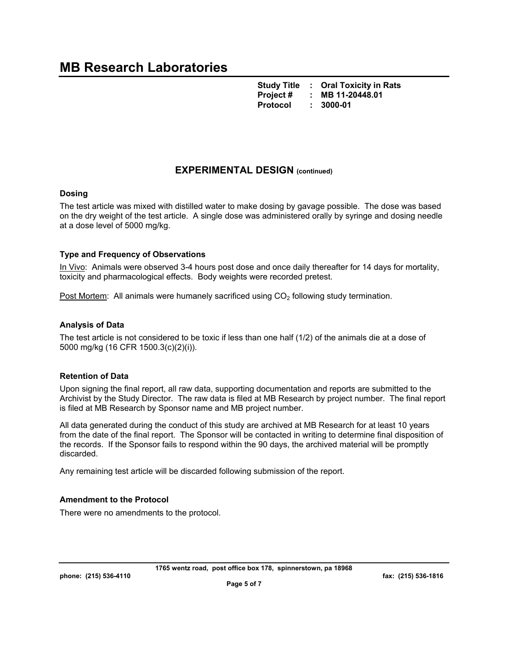**Study Title : Oral Toxicity in Rats Project # : MB 11-20448.01**  Protocol :

## **EXPERIMENTAL DESIGN (continued)**

#### **Dosing**

The test article was mixed with distilled water to make dosing by gavage possible. The dose was based on the dry weight of the test article. A single dose was administered orally by syringe and dosing needle at a dose level of 5000 mg/kg.

#### **Type and Frequency of Observations**

In Vivo: Animals were observed 3-4 hours post dose and once daily thereafter for 14 days for mortality, toxicity and pharmacological effects. Body weights were recorded pretest.

Post Mortem: All animals were humanely sacrificed using  $CO<sub>2</sub>$  following study termination.

#### **Analysis of Data**

The test article is not considered to be toxic if less than one half (1/2) of the animals die at a dose of 5000 mg/kg (16 CFR 1500.3(c)(2)(i)).

#### **Retention of Data**

Upon signing the final report, all raw data, supporting documentation and reports are submitted to the Archivist by the Study Director. The raw data is filed at MB Research by project number. The final report is filed at MB Research by Sponsor name and MB project number.

All data generated during the conduct of this study are archived at MB Research for at least 10 years from the date of the final report. The Sponsor will be contacted in writing to determine final disposition of the records. If the Sponsor fails to respond within the 90 days, the archived material will be promptly discarded.

Any remaining test article will be discarded following submission of the report.

#### **Amendment to the Protocol**

There were no amendments to the protocol.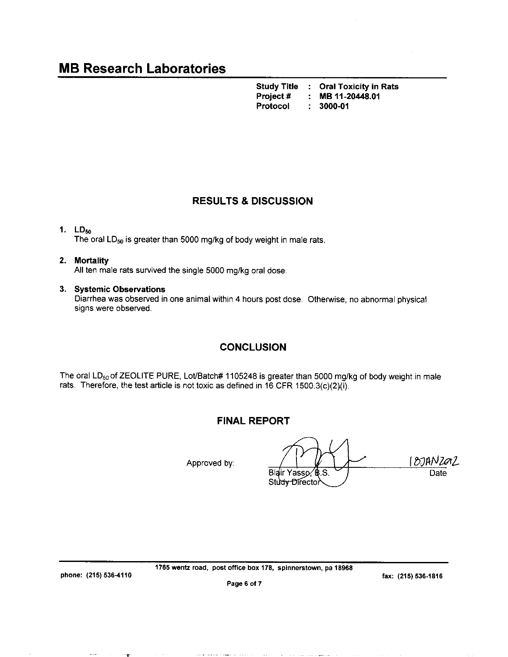**Study Title : Oral Toxicity in Rats** Project # MB 11-20448.01 : Protocol 3000-01  $\overline{\mathbf{r}}$ 

## **RESULTS & DISCUSSION**

#### 1.  $LD_{50}$

The oral  $LD_{50}$  is greater than 5000 mg/kg of body weight in male rats.

#### 2. Mortality

All ten male rats survived the single 5000 mg/kg oral dose.

#### 3. Systemic Observations

Diarrhea was observed in one animal within 4 hours post dose. Otherwise, no abnormal physical signs were observed.

### **CONCLUSION**

The oral LD<sub>50</sub> of ZEOLITE PURE, Lot/Batch# 1105248 is greater than 5000 mg/kg of body weight in male rats. Therefore, the test article is not toxic as defined in 16 CFR 1500.3(c)(2)(i).

#### **FINAL REPORT**

Approved by:

18JANZOZ Blair Yasso, B.S. Date Study Director

phone: (215) 536-4110

 $\bullet - \bullet$ 

and the state of the

1765 wentz road, post office box 178, spinnerstown, pa 18968

fax: (215) 536-1816

Page 6 of 7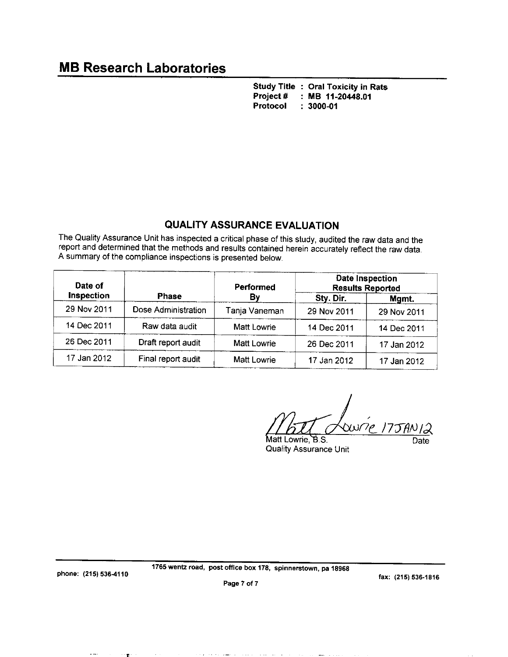Study Title : Oral Toxicity in Rats Project#  $\therefore$  MB 11-20448.01 Protocol  $: 3000 - 01$ 

## **QUALITY ASSURANCE EVALUATION**

The Quality Assurance Unit has inspected a critical phase of this study, audited the raw data and the report and determined that the methods and results contained herein accurately reflect the raw data. A summary of the compliance inspections is presented below.

| Date of<br><b>Inspection</b> |                     | <b>Performed</b><br>By | <b>Date Inspection</b><br><b>Results Reported</b> |             |  |
|------------------------------|---------------------|------------------------|---------------------------------------------------|-------------|--|
|                              | <b>Phase</b>        |                        | Sty Dir.                                          | Mgmt.       |  |
| 29 Nov 2011                  | Dose Administration | Tanja Vaneman          | 29 Nov 2011                                       | 29 Nov 2011 |  |
| 14 Dec 2011                  | Raw data audit      | Matt Lowrie            | 14 Dec 2011                                       | 14 Dec 2011 |  |
| 26 Dec 2011                  | Draft report audit  | Matt Lowrie            | 26 Dec 2011                                       | 17 Jan 2012 |  |
| 17 Jan 2012                  | Final report audit  | <b>Matt Lowrie</b>     | 17 Jan 2012                                       | 17 Jan 2012 |  |

 $\omega'$ 

Matt Lowrie, B.S. **Quality Assurance Unit** 

Date

phone: (215) 536-4110

'T"

1765 wentz road, post office box 178, spinnerstown, pa 18968

fax: (215) 536-1816

Page 7 of 7